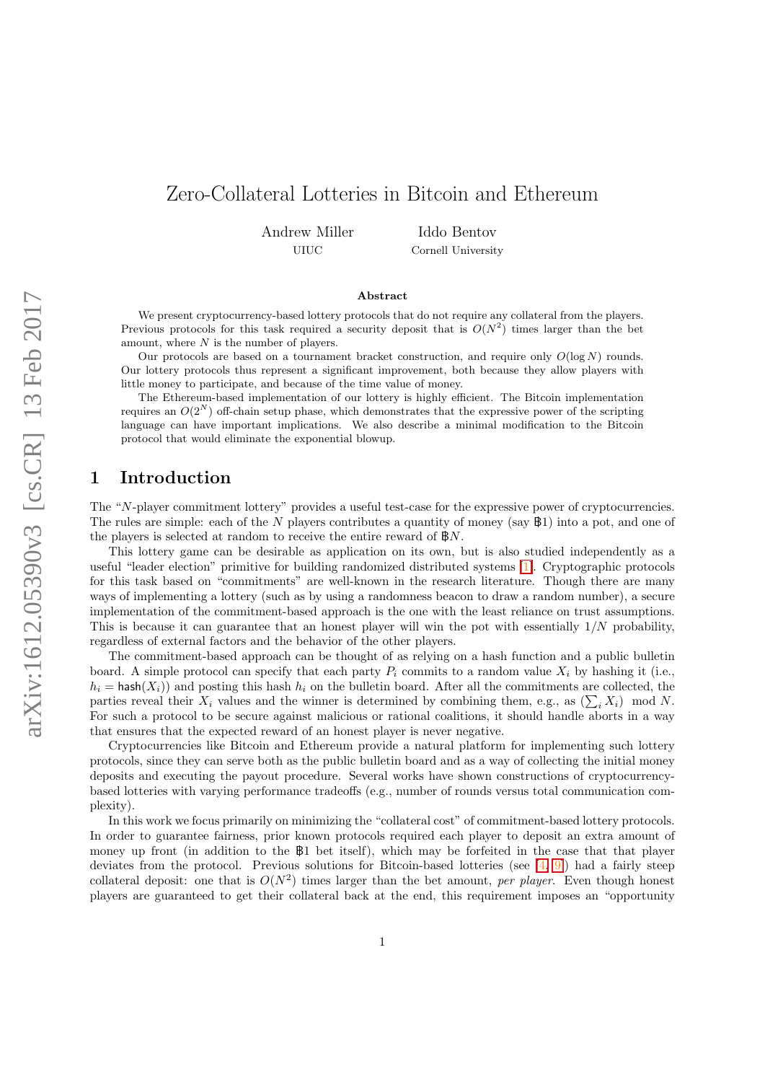# Zero-Collateral Lotteries in Bitcoin and Ethereum

Andrew Miller UIUC

Iddo Bentov Cornell University

#### Abstract

We present cryptocurrency-based lottery protocols that do not require any collateral from the players. Previous protocols for this task required a security deposit that is  $O(N^2)$  times larger than the bet amount, where  $N$  is the number of players.

Our protocols are based on a tournament bracket construction, and require only  $O(\log N)$  rounds. Our lottery protocols thus represent a significant improvement, both because they allow players with little money to participate, and because of the time value of money.

The Ethereum-based implementation of our lottery is highly efficient. The Bitcoin implementation requires an  $O(2^N)$  off-chain setup phase, which demonstrates that the expressive power of the scripting language can have important implications. We also describe a minimal modification to the Bitcoin protocol that would eliminate the exponential blowup.

## 1 Introduction

The "N-player commitment lottery" provides a useful test-case for the expressive power of cryptocurrencies. The rules are simple: each of the N players contributes a quantity of money (say  $\mathbb{B}1$ ) into a pot, and one of the players is selected at random to receive the entire reward of  $\mathbb{B}N$ .

This lottery game can be desirable as application on its own, but is also studied independently as a useful "leader election" primitive for building randomized distributed systems [\[1\]](#page-14-0). Cryptographic protocols for this task based on "commitments" are well-known in the research literature. Though there are many ways of implementing a lottery (such as by using a randomness beacon to draw a random number), a secure implementation of the commitment-based approach is the one with the least reliance on trust assumptions. This is because it can guarantee that an honest player will win the pot with essentially  $1/N$  probability, regardless of external factors and the behavior of the other players.

The commitment-based approach can be thought of as relying on a hash function and a public bulletin board. A simple protocol can specify that each party  $P_i$  commits to a random value  $X_i$  by hashing it (i.e.,  $h_i$  = hash( $X_i$ )) and posting this hash  $h_i$  on the bulletin board. After all the commitments are collected, the parties reveal their  $X_i$  values and the winner is determined by combining them, e.g., as  $(\sum_i X_i)$  mod N. For such a protocol to be secure against malicious or rational coalitions, it should handle aborts in a way that ensures that the expected reward of an honest player is never negative.

Cryptocurrencies like Bitcoin and Ethereum provide a natural platform for implementing such lottery protocols, since they can serve both as the public bulletin board and as a way of collecting the initial money deposits and executing the payout procedure. Several works have shown constructions of cryptocurrencybased lotteries with varying performance tradeoffs (e.g., number of rounds versus total communication complexity).

In this work we focus primarily on minimizing the "collateral cost" of commitment-based lottery protocols. In order to guarantee fairness, prior known protocols required each player to deposit an extra amount of money up front (in addition to the B1 bet itself), which may be forfeited in the case that that player deviates from the protocol. Previous solutions for Bitcoin-based lotteries (see  $[4, 9]$  $[4, 9]$ ) had a fairly steep collateral deposit: one that is  $O(N^2)$  times larger than the bet amount, per player. Even though honest players are guaranteed to get their collateral back at the end, this requirement imposes an "opportunity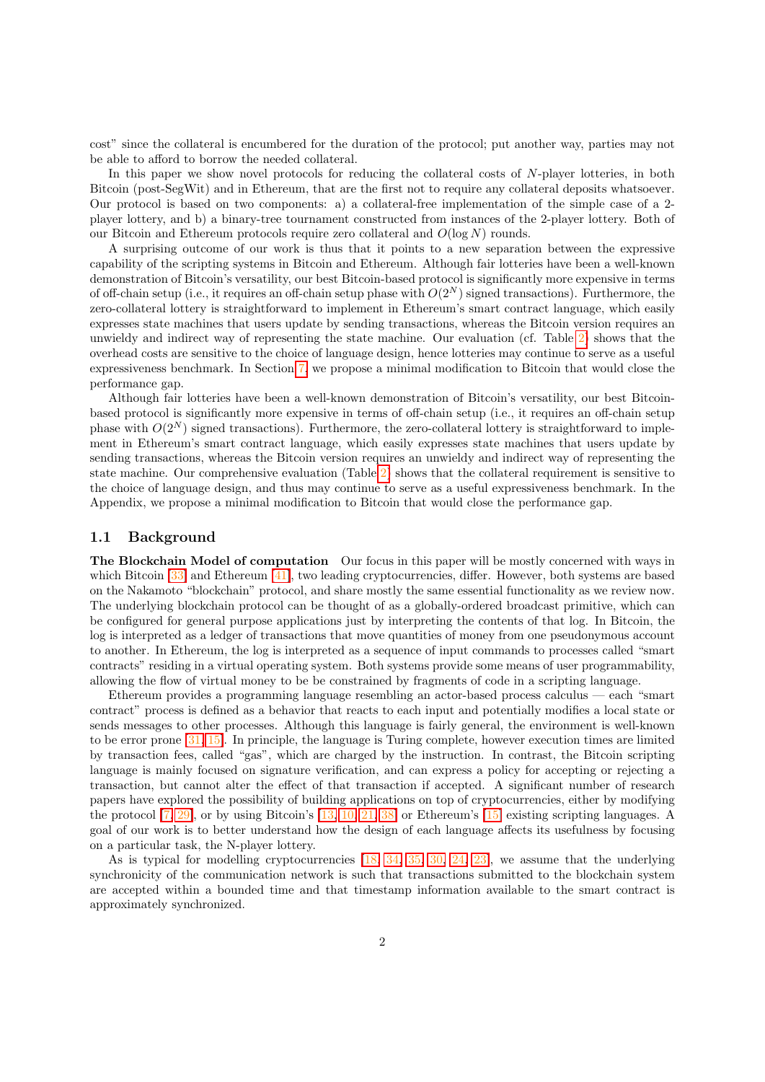cost" since the collateral is encumbered for the duration of the protocol; put another way, parties may not be able to afford to borrow the needed collateral.

In this paper we show novel protocols for reducing the collateral costs of N-player lotteries, in both Bitcoin (post-SegWit) and in Ethereum, that are the first not to require any collateral deposits whatsoever. Our protocol is based on two components: a) a collateral-free implementation of the simple case of a 2 player lottery, and b) a binary-tree tournament constructed from instances of the 2-player lottery. Both of our Bitcoin and Ethereum protocols require zero collateral and  $O(\log N)$  rounds.

A surprising outcome of our work is thus that it points to a new separation between the expressive capability of the scripting systems in Bitcoin and Ethereum. Although fair lotteries have been a well-known demonstration of Bitcoin's versatility, our best Bitcoin-based protocol is significantly more expensive in terms of off-chain setup (i.e., it requires an off-chain setup phase with  $O(2^N)$  signed transactions). Furthermore, the zero-collateral lottery is straightforward to implement in Ethereum's smart contract language, which easily expresses state machines that users update by sending transactions, whereas the Bitcoin version requires an unwieldy and indirect way of representing the state machine. Our evaluation (cf. Table [2\)](#page-13-0) shows that the overhead costs are sensitive to the choice of language design, hence lotteries may continue to serve as a useful expressiveness benchmark. In Section [7,](#page-13-1) we propose a minimal modification to Bitcoin that would close the performance gap.

Although fair lotteries have been a well-known demonstration of Bitcoin's versatility, our best Bitcoinbased protocol is significantly more expensive in terms of off-chain setup (i.e., it requires an off-chain setup phase with  $O(2^N)$  signed transactions). Furthermore, the zero-collateral lottery is straightforward to implement in Ethereum's smart contract language, which easily expresses state machines that users update by sending transactions, whereas the Bitcoin version requires an unwieldy and indirect way of representing the state machine. Our comprehensive evaluation (Table [2\)](#page-13-0) shows that the collateral requirement is sensitive to the choice of language design, and thus may continue to serve as a useful expressiveness benchmark. In the Appendix, we propose a minimal modification to Bitcoin that would close the performance gap.

#### 1.1 Background

The Blockchain Model of computation Our focus in this paper will be mostly concerned with ways in which Bitcoin [\[33\]](#page-16-0) and Ethereum [\[41\]](#page-16-1), two leading cryptocurrencies, differ. However, both systems are based on the Nakamoto "blockchain" protocol, and share mostly the same essential functionality as we review now. The underlying blockchain protocol can be thought of as a globally-ordered broadcast primitive, which can be configured for general purpose applications just by interpreting the contents of that log. In Bitcoin, the log is interpreted as a ledger of transactions that move quantities of money from one pseudonymous account to another. In Ethereum, the log is interpreted as a sequence of input commands to processes called "smart contracts" residing in a virtual operating system. Both systems provide some means of user programmability, allowing the flow of virtual money to be be constrained by fragments of code in a scripting language.

Ethereum provides a programming language resembling an actor-based process calculus — each "smart contract" process is defined as a behavior that reacts to each input and potentially modifies a local state or sends messages to other processes. Although this language is fairly general, the environment is well-known to be error prone [\[31,](#page-16-2) [15\]](#page-15-1). In principle, the language is Turing complete, however execution times are limited by transaction fees, called "gas", which are charged by the instruction. In contrast, the Bitcoin scripting language is mainly focused on signature verification, and can express a policy for accepting or rejecting a transaction, but cannot alter the effect of that transaction if accepted. A significant number of research papers have explored the possibility of building applications on top of cryptocurrencies, either by modifying the protocol [\[7,](#page-14-2) [29\]](#page-16-3), or by using Bitcoin's [\[13,](#page-15-2) [10,](#page-15-3) [21,](#page-15-4) [38\]](#page-16-4) or Ethereum's [\[15\]](#page-15-1) existing scripting languages. A goal of our work is to better understand how the design of each language affects its usefulness by focusing on a particular task, the N-player lottery.

As is typical for modelling cryptocurrencies  $[18, 34, 35, 30, 24, 23]$  $[18, 34, 35, 30, 24, 23]$  $[18, 34, 35, 30, 24, 23]$  $[18, 34, 35, 30, 24, 23]$  $[18, 34, 35, 30, 24, 23]$  $[18, 34, 35, 30, 24, 23]$  $[18, 34, 35, 30, 24, 23]$  $[18, 34, 35, 30, 24, 23]$  $[18, 34, 35, 30, 24, 23]$  $[18, 34, 35, 30, 24, 23]$  $[18, 34, 35, 30, 24, 23]$ , we assume that the underlying synchronicity of the communication network is such that transactions submitted to the blockchain system are accepted within a bounded time and that timestamp information available to the smart contract is approximately synchronized.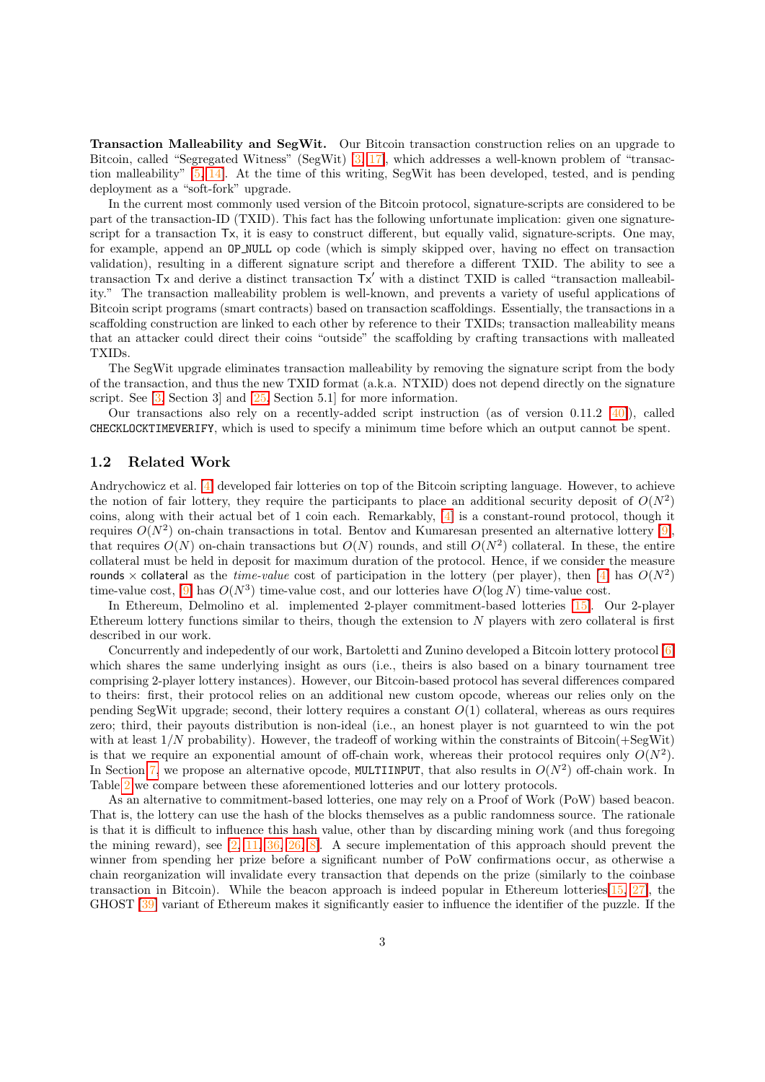Transaction Malleability and SegWit. Our Bitcoin transaction construction relies on an upgrade to Bitcoin, called "Segregated Witness" (SegWit) [\[3,](#page-14-3) [17\]](#page-15-8), which addresses a well-known problem of "transaction malleability" [\[5,](#page-14-4) [14\]](#page-15-9). At the time of this writing, SegWit has been developed, tested, and is pending deployment as a "soft-fork" upgrade.

In the current most commonly used version of the Bitcoin protocol, signature-scripts are considered to be part of the transaction-ID (TXID). This fact has the following unfortunate implication: given one signaturescript for a transaction Tx, it is easy to construct different, but equally valid, signature-scripts. One may, for example, append an OP NULL op code (which is simply skipped over, having no effect on transaction validation), resulting in a different signature script and therefore a different TXID. The ability to see a transaction  $Tx$  and derive a distinct transaction  $Tx'$  with a distinct TXID is called "transaction malleability." The transaction malleability problem is well-known, and prevents a variety of useful applications of Bitcoin script programs (smart contracts) based on transaction scaffoldings. Essentially, the transactions in a scaffolding construction are linked to each other by reference to their TXIDs; transaction malleability means that an attacker could direct their coins "outside" the scaffolding by crafting transactions with malleated TXIDs.

The SegWit upgrade eliminates transaction malleability by removing the signature script from the body of the transaction, and thus the new TXID format (a.k.a. NTXID) does not depend directly on the signature script. See [\[3,](#page-14-3) Section 3] and [\[25,](#page-15-10) Section 5.1] for more information.

Our transactions also rely on a recently-added script instruction (as of version 0.11.2  $[40]$ ), called CHECKLOCKTIMEVERIFY, which is used to specify a minimum time before which an output cannot be spent.

#### 1.2 Related Work

Andrychowicz et al. [\[4\]](#page-14-1) developed fair lotteries on top of the Bitcoin scripting language. However, to achieve the notion of fair lottery, they require the participants to place an additional security deposit of  $O(N^2)$ coins, along with their actual bet of 1 coin each. Remarkably, [\[4\]](#page-14-1) is a constant-round protocol, though it requires  $O(N^2)$  on-chain transactions in total. Bentov and Kumaresan presented an alternative lottery [\[9\]](#page-15-0), that requires  $O(N)$  on-chain transactions but  $O(N)$  rounds, and still  $O(N^2)$  collateral. In these, the entire collateral must be held in deposit for maximum duration of the protocol. Hence, if we consider the measure rounds  $\times$  collateral as the *time-value* cost of participation in the lottery (per player), then [\[4\]](#page-14-1) has  $O(N^2)$ time-value cost,  $[9]$  has  $O(N^3)$  time-value cost, and our lotteries have  $O(\log N)$  time-value cost.

In Ethereum, Delmolino et al. implemented 2-player commitment-based lotteries [\[15\]](#page-15-1). Our 2-player Ethereum lottery functions similar to theirs, though the extension to  $N$  players with zero collateral is first described in our work.

Concurrently and indepedently of our work, Bartoletti and Zunino developed a Bitcoin lottery protocol [\[6\]](#page-14-5) which shares the same underlying insight as ours (i.e., theirs is also based on a binary tournament tree comprising 2-player lottery instances). However, our Bitcoin-based protocol has several differences compared to theirs: first, their protocol relies on an additional new custom opcode, whereas our relies only on the pending SegWit upgrade; second, their lottery requires a constant  $O(1)$  collateral, whereas as ours requires zero; third, their payouts distribution is non-ideal (i.e., an honest player is not guarnteed to win the pot with at least  $1/N$  probability). However, the tradeoff of working within the constraints of Bitcoin( $+SegW$ it) is that we require an exponential amount of off-chain work, whereas their protocol requires only  $O(N^2)$ . In Section [7,](#page-13-1) we propose an alternative opcode, MULTIINPUT, that also results in  $O(N^2)$  off-chain work. In Table [2](#page-13-0) we compare between these aforementioned lotteries and our lottery protocols.

As an alternative to commitment-based lotteries, one may rely on a Proof of Work (PoW) based beacon. That is, the lottery can use the hash of the blocks themselves as a public randomness source. The rationale is that it is difficult to influence this hash value, other than by discarding mining work (and thus foregoing the mining reward), see  $[2, 11, 36, 26, 8]$  $[2, 11, 36, 26, 8]$  $[2, 11, 36, 26, 8]$  $[2, 11, 36, 26, 8]$  $[2, 11, 36, 26, 8]$  $[2, 11, 36, 26, 8]$  $[2, 11, 36, 26, 8]$  $[2, 11, 36, 26, 8]$  $[2, 11, 36, 26, 8]$ . A secure implementation of this approach should prevent the winner from spending her prize before a significant number of PoW confirmations occur, as otherwise a chain reorganization will invalidate every transaction that depends on the prize (similarly to the coinbase transaction in Bitcoin). While the beacon approach is indeed popular in Ethereum lotteries  $[15, 27]$  $[15, 27]$  $[15, 27]$ , the GHOST [\[39\]](#page-16-11) variant of Ethereum makes it significantly easier to influence the identifier of the puzzle. If the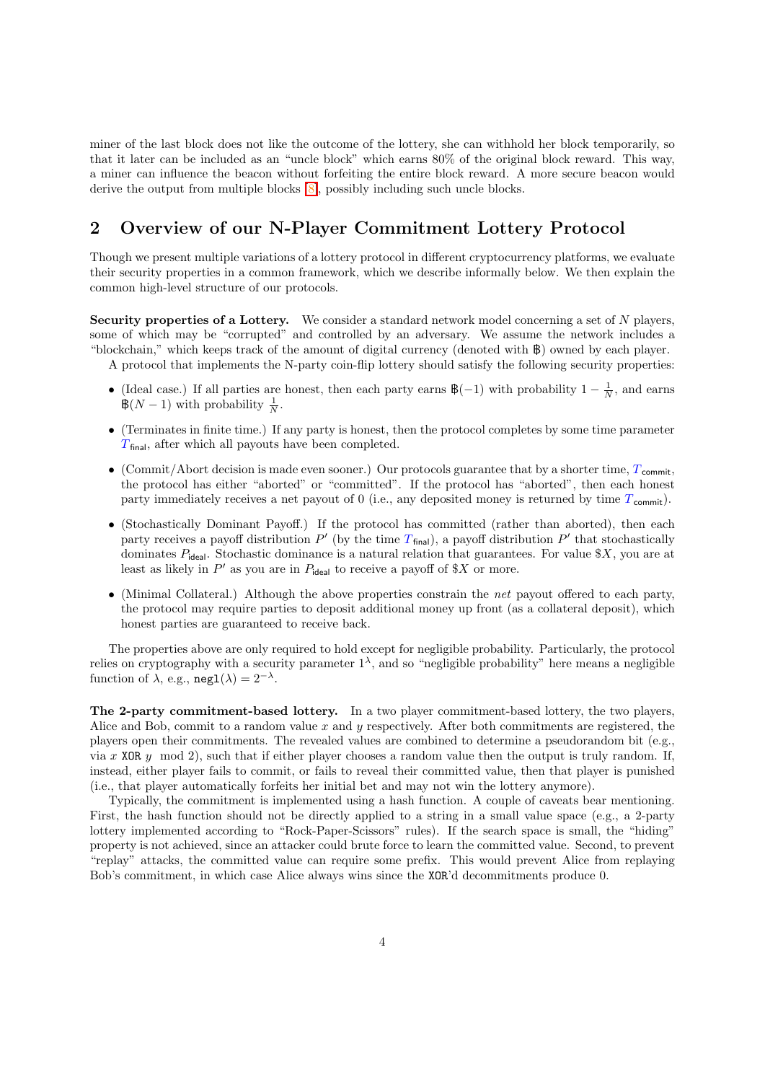miner of the last block does not like the outcome of the lottery, she can withhold her block temporarily, so that it later can be included as an "uncle block" which earns 80% of the original block reward. This way, a miner can influence the beacon without forfeiting the entire block reward. A more secure beacon would derive the output from multiple blocks [\[8\]](#page-15-13), possibly including such uncle blocks.

# 2 Overview of our N-Player Commitment Lottery Protocol

Though we present multiple variations of a lottery protocol in different cryptocurrency platforms, we evaluate their security properties in a common framework, which we describe informally below. We then explain the common high-level structure of our protocols.

Security properties of a Lottery. We consider a standard network model concerning a set of  $N$  players, some of which may be "corrupted" and controlled by an adversary. We assume the network includes a "blockchain," which keeps track of the amount of digital currency (denoted with B) owned by each player.

A protocol that implements the N-party coin-flip lottery should satisfy the following security properties:

- (Ideal case.) If all parties are honest, then each party earns  $\mathcal{B}(-1)$  with probability  $1 \frac{1}{N}$ , and earns  $\mathbb{B}(N-1)$  with probability  $\frac{1}{N}$ .
- (Terminates in finite time.) If any party is honest, then the protocol completes by some time parameter  $T_{\text{final}}$ , after which all payouts have been completed.
- (Commit/Abort decision is made even sooner.) Our protocols guarantee that by a shorter time,  $T_{\text{commit}}$ , the protocol has either "aborted" or "committed". If the protocol has "aborted", then each honest party immediately receives a net payout of 0 (i.e., any deposited money is returned by time  $T_{\text{commit}}$ ).
- (Stochastically Dominant Payoff.) If the protocol has committed (rather than aborted), then each party receives a payoff distribution  $P'$  (by the time  $T_{final}$ ), a payoff distribution  $P'$  that stochastically dominates  $P_{\text{ideal}}$ . Stochastic dominance is a natural relation that guarantees. For value \$X, you are at least as likely in  $P'$  as you are in  $P_{\text{ideal}}$  to receive a payoff of \$X or more.
- (Minimal Collateral.) Although the above properties constrain the *net* payout offered to each party, the protocol may require parties to deposit additional money up front (as a collateral deposit), which honest parties are guaranteed to receive back.

The properties above are only required to hold except for negligible probability. Particularly, the protocol relies on cryptography with a security parameter  $1^{\lambda}$ , and so "negligible probability" here means a negligible function of  $\lambda$ , e.g., neg1( $\lambda$ ) = 2<sup>- $\lambda$ </sup>.

The 2-party commitment-based lottery. In a two player commitment-based lottery, the two players, Alice and Bob, commit to a random value  $x$  and  $y$  respectively. After both commitments are registered, the players open their commitments. The revealed values are combined to determine a pseudorandom bit (e.g., via x XOR  $y \mod 2$ , such that if either player chooses a random value then the output is truly random. If, instead, either player fails to commit, or fails to reveal their committed value, then that player is punished (i.e., that player automatically forfeits her initial bet and may not win the lottery anymore).

Typically, the commitment is implemented using a hash function. A couple of caveats bear mentioning. First, the hash function should not be directly applied to a string in a small value space (e.g., a 2-party lottery implemented according to "Rock-Paper-Scissors" rules). If the search space is small, the "hiding" property is not achieved, since an attacker could brute force to learn the committed value. Second, to prevent "replay" attacks, the committed value can require some prefix. This would prevent Alice from replaying Bob's commitment, in which case Alice always wins since the XOR'd decommitments produce 0.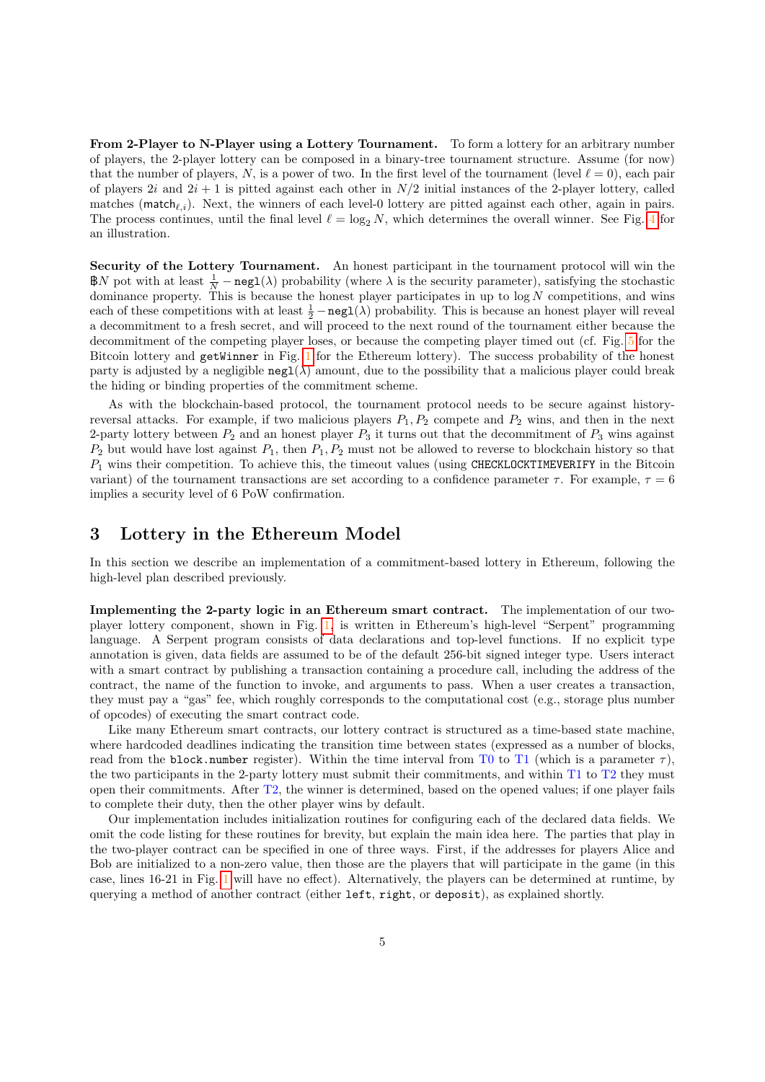From 2-Player to N-Player using a Lottery Tournament. To form a lottery for an arbitrary number of players, the 2-player lottery can be composed in a binary-tree tournament structure. Assume (for now) that the number of players, N, is a power of two. In the first level of the tournament (level  $\ell = 0$ ), each pair of players 2i and  $2i + 1$  is pitted against each other in  $N/2$  initial instances of the 2-player lottery, called matches (match<sub> $\ell,i$ </sub>). Next, the winners of each level-0 lottery are pitted against each other, again in pairs. The process continues, until the final level  $\ell = \log_2 N$ , which determines the overall winner. See Fig. [4](#page-8-0) for an illustration.

Security of the Lottery Tournament. An honest participant in the tournament protocol will win the  $\mathbb{B}N$  pot with at least  $\frac{1}{N} - \text{negl}(\lambda)$  probability (where  $\lambda$  is the security parameter), satisfying the stochastic dominance property. This is because the honest player participates in up to  $log N$  competitions, and wins each of these competitions with at least  $\frac{1}{2} - \text{negl}(\lambda)$  probability. This is because an honest player will reveal a decommitment to a fresh secret, and will proceed to the next round of the tournament either because the decommitment of the competing player loses, or because the competing player timed out (cf. Fig. [5](#page-9-0) for the Bitcoin lottery and getWinner in Fig. [1](#page-6-0) for the Ethereum lottery). The success probability of the honest party is adjusted by a negligible  $negl(\lambda)$  amount, due to the possibility that a malicious player could break the hiding or binding properties of the commitment scheme.

As with the blockchain-based protocol, the tournament protocol needs to be secure against historyreversal attacks. For example, if two malicious players  $P_1, P_2$  compete and  $P_2$  wins, and then in the next 2-party lottery between  $P_2$  and an honest player  $P_3$  it turns out that the decommitment of  $P_3$  wins against  $P_2$  but would have lost against  $P_1$ , then  $P_1, P_2$  must not be allowed to reverse to blockchain history so that  $P_1$  wins their competition. To achieve this, the timeout values (using CHECKLOCKTIMEVERIFY in the Bitcoin variant) of the tournament transactions are set according to a confidence parameter  $\tau$ . For example,  $\tau = 6$ implies a security level of 6 PoW confirmation.

#### <span id="page-4-0"></span>3 Lottery in the Ethereum Model

In this section we describe an implementation of a commitment-based lottery in Ethereum, following the high-level plan described previously.

Implementing the 2-party logic in an Ethereum smart contract. The implementation of our twoplayer lottery component, shown in Fig. [1,](#page-6-0) is written in Ethereum's high-level "Serpent" programming language. A Serpent program consists of data declarations and top-level functions. If no explicit type annotation is given, data fields are assumed to be of the default 256-bit signed integer type. Users interact with a smart contract by publishing a transaction containing a procedure call, including the address of the contract, the name of the function to invoke, and arguments to pass. When a user creates a transaction, they must pay a "gas" fee, which roughly corresponds to the computational cost (e.g., storage plus number of opcodes) of executing the smart contract code.

Like many Ethereum smart contracts, our lottery contract is structured as a time-based state machine, where hardcoded deadlines indicating the transition time between states (expressed as a number of blocks, read from the block.number register). Within the time interval from T0 to T1 (which is a parameter  $\tau$ ), the two participants in the 2-party lottery must submit their commitments, and within T1 to T2 they must open their commitments. After T2, the winner is determined, based on the opened values; if one player fails to complete their duty, then the other player wins by default.

Our implementation includes initialization routines for configuring each of the declared data fields. We omit the code listing for these routines for brevity, but explain the main idea here. The parties that play in the two-player contract can be specified in one of three ways. First, if the addresses for players Alice and Bob are initialized to a non-zero value, then those are the players that will participate in the game (in this case, lines 16-21 in Fig. [1](#page-6-0) will have no effect). Alternatively, the players can be determined at runtime, by querying a method of another contract (either left, right, or deposit), as explained shortly.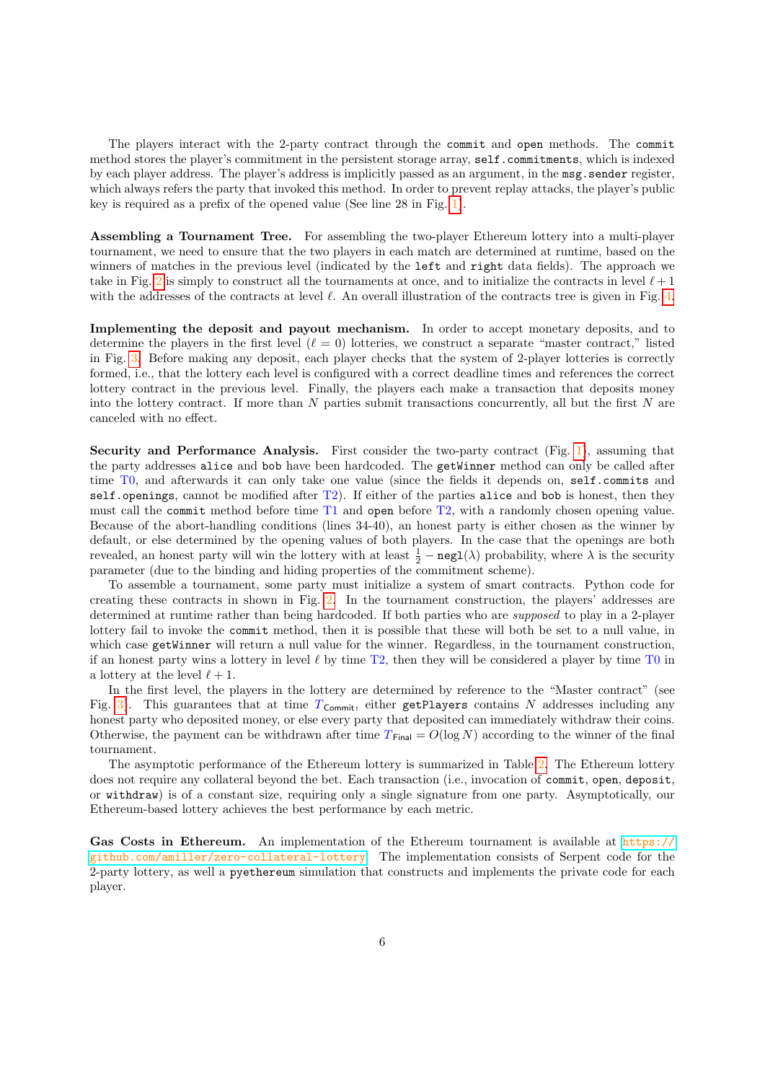The players interact with the 2-party contract through the commit and open methods. The commit method stores the player's commitment in the persistent storage array, self.commitments, which is indexed by each player address. The player's address is implicitly passed as an argument, in the msg.sender register, which always refers the party that invoked this method. In order to prevent replay attacks, the player's public key is required as a prefix of the opened value (See line 28 in Fig. [1\)](#page-6-0).

Assembling a Tournament Tree. For assembling the two-player Ethereum lottery into a multi-player tournament, we need to ensure that the two players in each match are determined at runtime, based on the winners of matches in the previous level (indicated by the left and right data fields). The approach we take in Fig. [2](#page-7-0) is simply to construct all the tournaments at once, and to initialize the contracts in level  $\ell + 1$ with the addresses of the contracts at level  $\ell$ . An overall illustration of the contracts tree is given in Fig. [4.](#page-8-0)

Implementing the deposit and payout mechanism. In order to accept monetary deposits, and to determine the players in the first level  $(\ell = 0)$  lotteries, we construct a separate "master contract," listed in Fig. [3.](#page-7-1) Before making any deposit, each player checks that the system of 2-player lotteries is correctly formed, i.e., that the lottery each level is configured with a correct deadline times and references the correct lottery contract in the previous level. Finally, the players each make a transaction that deposits money into the lottery contract. If more than  $N$  parties submit transactions concurrently, all but the first  $N$  are canceled with no effect.

Security and Performance Analysis. First consider the two-party contract (Fig. [1\)](#page-6-0), assuming that the party addresses alice and bob have been hardcoded. The getWinner method can only be called after time T0, and afterwards it can only take one value (since the fields it depends on, self.commits and self.openings, cannot be modified after T2). If either of the parties alice and bob is honest, then they must call the commit method before time T1 and open before T2, with a randomly chosen opening value. Because of the abort-handling conditions (lines 34-40), an honest party is either chosen as the winner by default, or else determined by the opening values of both players. In the case that the openings are both revealed, an honest party will win the lottery with at least  $\frac{1}{2} - \text{negl}(\lambda)$  probability, where  $\lambda$  is the security parameter (due to the binding and hiding properties of the commitment scheme).

To assemble a tournament, some party must initialize a system of smart contracts. Python code for creating these contracts in shown in Fig. [2.](#page-7-0) In the tournament construction, the players' addresses are determined at runtime rather than being hardcoded. If both parties who are *supposed* to play in a 2-player lottery fail to invoke the commit method, then it is possible that these will both be set to a null value, in which case getWinner will return a null value for the winner. Regardless, in the tournament construction, if an honest party wins a lottery in level  $\ell$  by time T2, then they will be considered a player by time T0 in a lottery at the level  $\ell + 1$ .

In the first level, the players in the lottery are determined by reference to the "Master contract" (see Fig. [3\)](#page-7-1). This guarantees that at time  $T_{\text{Commit}}$ , either getPlayers contains N addresses including any honest party who deposited money, or else every party that deposited can immediately withdraw their coins. Otherwise, the payment can be withdrawn after time  $T_{\text{Final}} = O(\log N)$  according to the winner of the final tournament.

The asymptotic performance of the Ethereum lottery is summarized in Table [2.](#page-13-0) The Ethereum lottery does not require any collateral beyond the bet. Each transaction (i.e., invocation of commit, open, deposit, or withdraw) is of a constant size, requiring only a single signature from one party. Asymptotically, our Ethereum-based lottery achieves the best performance by each metric.

Gas Costs in Ethereum. An implementation of the Ethereum tournament is available at [https://](https://github.com/amiller/zero-collateral-lottery) [github.com/amiller/zero-collateral-lottery](https://github.com/amiller/zero-collateral-lottery). The implementation consists of Serpent code for the 2-party lottery, as well a pyethereum simulation that constructs and implements the private code for each player.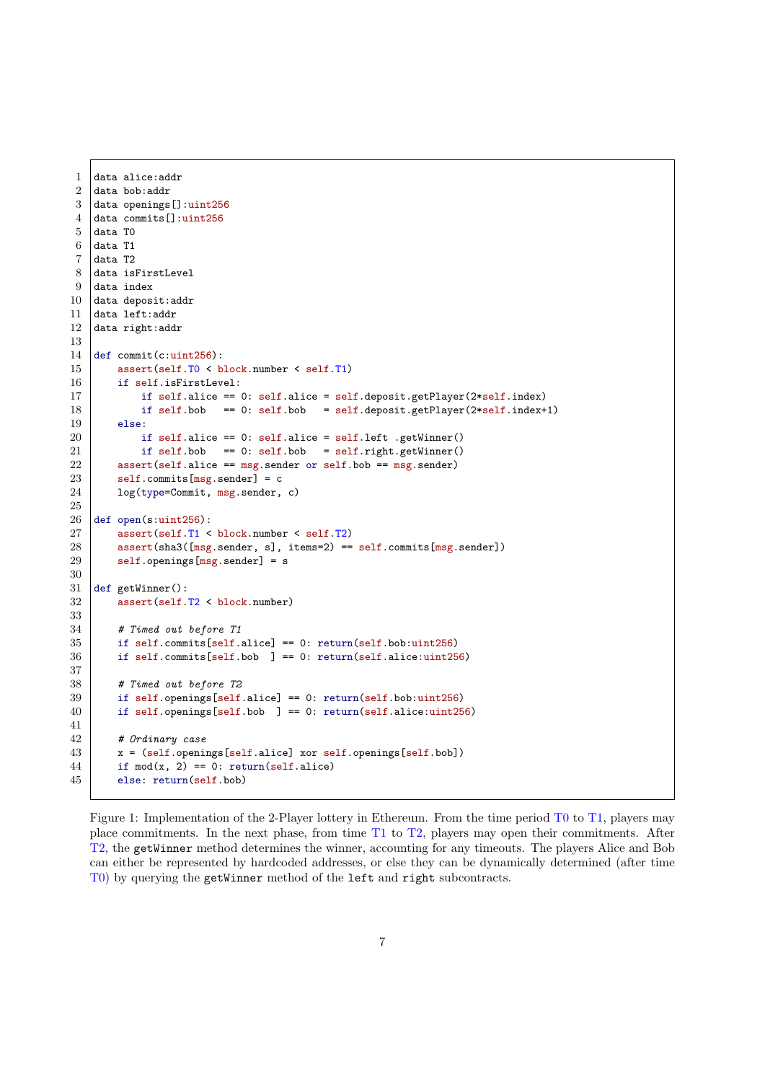```
1 data alice:addr
 2 data bob:addr
3 data openings[]:uint256
4 data commits[]:uint256
5 data TO
 6 data T1
7 \vert data T2
8 data isFirstLevel
9 data index
10 data deposit: addr
11 data left:addr
12 data right:addr
13
14 def commit(c:uint256):
15 assert(self.T0 < block.number < self.T1)
16 if self.isFirstLevel:
17 if self.alice == 0: self.alice = self.deposit.getPlayer(2*self.index)
18 if self.bob == 0: self.bob = self.deposit.getPlayer(2*self.index+1)
19 else:
20 if self.alice == 0: self.alice = self.left .getWinner()
21 if self.bob == 0: self.bob = self.right.getWinner()
22 \vert assert(self.alice == msg.sender or self.bob == msg.sender)
23 | self.commits[msg.sender] = c24 | log(type=Commit, msg.sender, c)
\frac{25}{26}def open(s:uint256):
27 assert(self.T1 < block.number < self.T2)
28 assert(sha3([msg.sender, s], items=2) == self.commits[msg.sender])
29 \vert self.openings[msg.sender] = s
30
31 def getWinner():
32 assert(self.T2 < block.number)
33
\begin{array}{c|c} 34 & \text{# Timed out before } T1 \\ 35 & \text{if self commits[self.} \end{array}if self.commits[self.alice] == 0: return(self.bob:uint256)36 if self.commits[self.bob ] == 0: return(self.alice:uint256)
37
38 # Timed out before T2
39 if self.openings[self.alice] == 0: return(self.bob:uint256)
40 if self.openings[self.bob ] == 0: return(self.alice:uint256)
41
42 # Ordinary case
43 x = (self.openings[self.alice] xor self.openings[self.bob])
44 if mod(x, 2) == 0: return(self.alice)
45 else: return(self.bob)
```
<span id="page-6-0"></span>Figure 1: Implementation of the 2-Player lottery in Ethereum. From the time period T0 to T1, players may place commitments. In the next phase, from time T1 to T2, players may open their commitments. After T2, the getWinner method determines the winner, accounting for any timeouts. The players Alice and Bob can either be represented by hardcoded addresses, or else they can be dynamically determined (after time T0) by querying the getWinner method of the left and right subcontracts.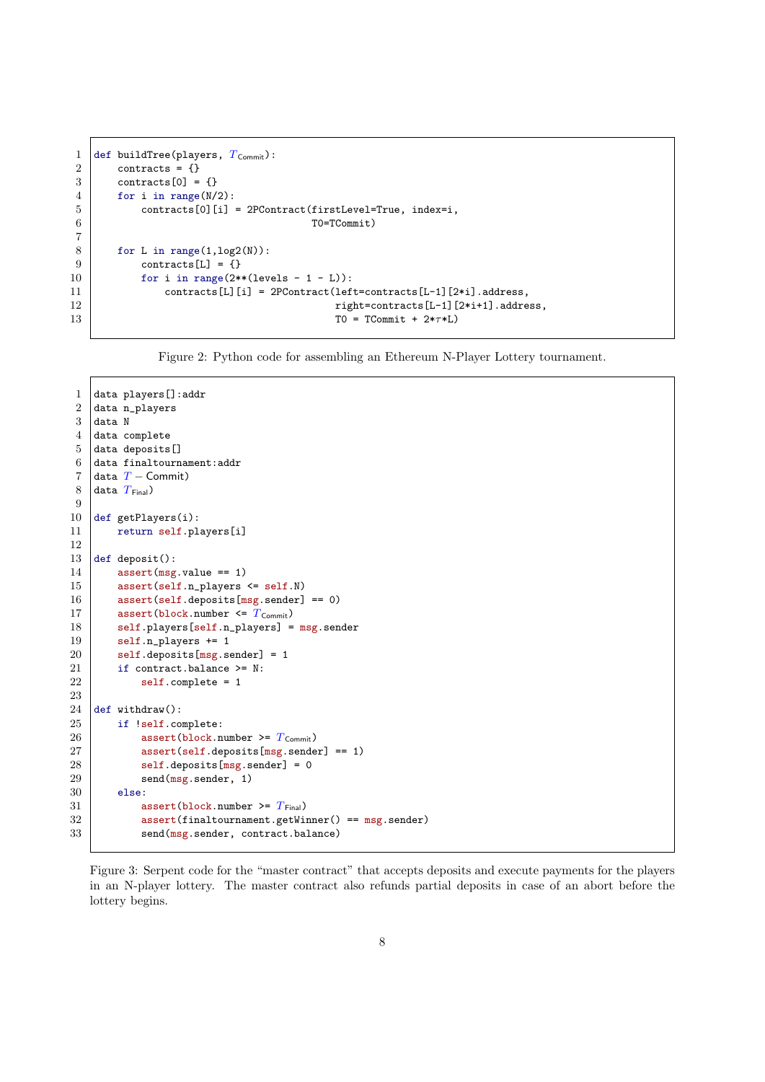```
1 def buildTree(players, T_{\text{Commit}}):
2 contracts = {}
3 \mid \text{contrast}[0] = \{\}4 \mid for i in range(N/2):
5 contracts[0][i] = 2PContract(firstLevel=True, index=i,
 6 \mid T0=TCommit)
 7
8 for L in range(1,log2(N)):<br>9 contracts[I,] = {}
            contrast[L] = \{\}10 for i in range(2**(levels - 1 - L)):
11 \vert contracts[L][i] = 2PContract(left=contracts[L-1][2*i].address,
12 \begin{bmatrix} \text{right} = \text{contrast} \left[ L-1 \right] \left[ 2* \text{i}+1 \right] \text{. address,} \\ 13 \end{bmatrix}TO = TCommit + 2*7*L
```
<span id="page-7-0"></span>Figure 2: Python code for assembling an Ethereum N-Player Lottery tournament.

```
1 data players[]:addr
 2 data n_players
 3 data N
 4 data complete
 \begin{array}{c|c} 5 & \text{data deposits} \\ 6 & \text{data finaltourn} \end{array}data finaltournament:addr
 7 data T - Commit)<br>8 data T_{\text{Final}}data T_{\text{Final}})
 9
10 def getPlayers(i):
11 return self.players[i]
12
13 def deposit():
14 assert (msg. value == 1)
15 assert(self.n_players <= self.N)
16 \vert assert(self.deposits[msg.sender] == 0)
17 assert(block.number \leq T_{\text{Commit}})<br>18 self.players[self.n_players] =
         self.players[self.n_players] = msg.sender
19 self.n_players += 120 self.deposits[msg.sender] = 1
21 if contract.balance >= N:
22 self.complete = 1
23
24 def withdraw():
25 if !self.complete:
26 assert(block.number >= T_{\text{commit}})<br>27 assert(self.deposits[msg.sende
27 assert(self.deposits[msg.sender] == 1)<br>
28 self.deposits[msg.sender] = 0
              self.deposits[msg.sender] = 029 send(msg.sender, 1)
30 else:
31 assert(block.number >= T_{Final})
32 assert(finaltournament.getWinner() == msg.sender)
33 send(msg.sender, contract.balance)
```
<span id="page-7-1"></span>Figure 3: Serpent code for the "master contract" that accepts deposits and execute payments for the players in an N-player lottery. The master contract also refunds partial deposits in case of an abort before the lottery begins.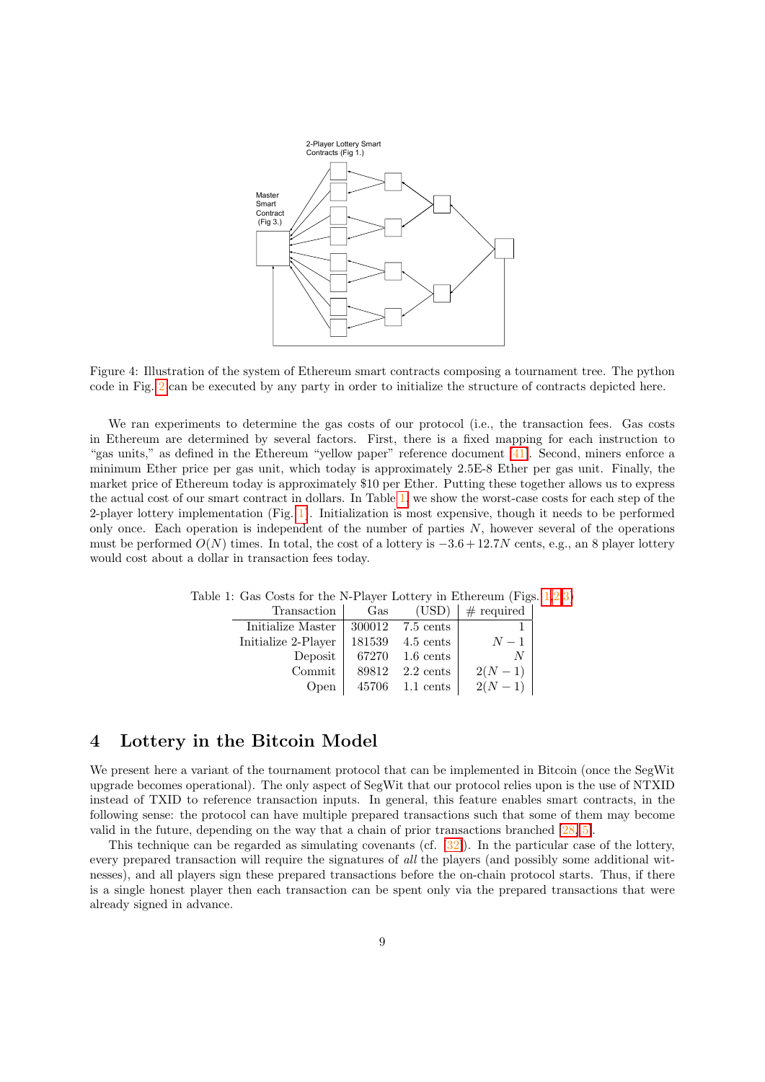

<span id="page-8-0"></span>Figure 4: Illustration of the system of Ethereum smart contracts composing a tournament tree. The python code in Fig. [2](#page-7-0) can be executed by any party in order to initialize the structure of contracts depicted here.

We ran experiments to determine the gas costs of our protocol (i.e., the transaction fees. Gas costs in Ethereum are determined by several factors. First, there is a fixed mapping for each instruction to "gas units," as defined in the Ethereum "yellow paper" reference document [\[41\]](#page-16-1). Second, miners enforce a minimum Ether price per gas unit, which today is approximately 2.5E-8 Ether per gas unit. Finally, the market price of Ethereum today is approximately \$10 per Ether. Putting these together allows us to express the actual cost of our smart contract in dollars. In Table [1,](#page-8-1) we show the worst-case costs for each step of the 2-player lottery implementation (Fig. [1\)](#page-6-0). Initialization is most expensive, though it needs to be performed only once. Each operation is independent of the number of parties N, however several of the operations must be performed  $O(N)$  times. In total, the cost of a lottery is  $-3.6 + 12.7N$  cents, e.g., an 8 player lottery would cost about a dollar in transaction fees today.

<span id="page-8-1"></span>

| Transaction         | Gas    | (USD)               | $#$ required |
|---------------------|--------|---------------------|--------------|
| Initialize Master   | 300012 | 7.5 cents           |              |
| Initialize 2-Player | 181539 | 4.5 cents           | $N-1$        |
| Deposit             | 67270  | $1.6 \text{ cents}$ | N            |
| Commit              | 89812  | $2.2 \text{ cents}$ | $2(N-1)$     |
| Open                | 45706  | 1.1 cents           | $2(N-1)$     |

Table 1: Gas Costs for the N-Player Lottery in Ethereum (Figs. [1,](#page-6-0)[2,](#page-7-0)[3\)](#page-7-1)

# <span id="page-8-2"></span>4 Lottery in the Bitcoin Model

We present here a variant of the tournament protocol that can be implemented in Bitcoin (once the SegWit upgrade becomes operational). The only aspect of SegWit that our protocol relies upon is the use of NTXID instead of TXID to reference transaction inputs. In general, this feature enables smart contracts, in the following sense: the protocol can have multiple prepared transactions such that some of them may become valid in the future, depending on the way that a chain of prior transactions branched [\[28,](#page-16-12) [5\]](#page-14-4).

This technique can be regarded as simulating covenants (cf. [\[32\]](#page-16-13)). In the particular case of the lottery, every prepared transaction will require the signatures of all the players (and possibly some additional witnesses), and all players sign these prepared transactions before the on-chain protocol starts. Thus, if there is a single honest player then each transaction can be spent only via the prepared transactions that were already signed in advance.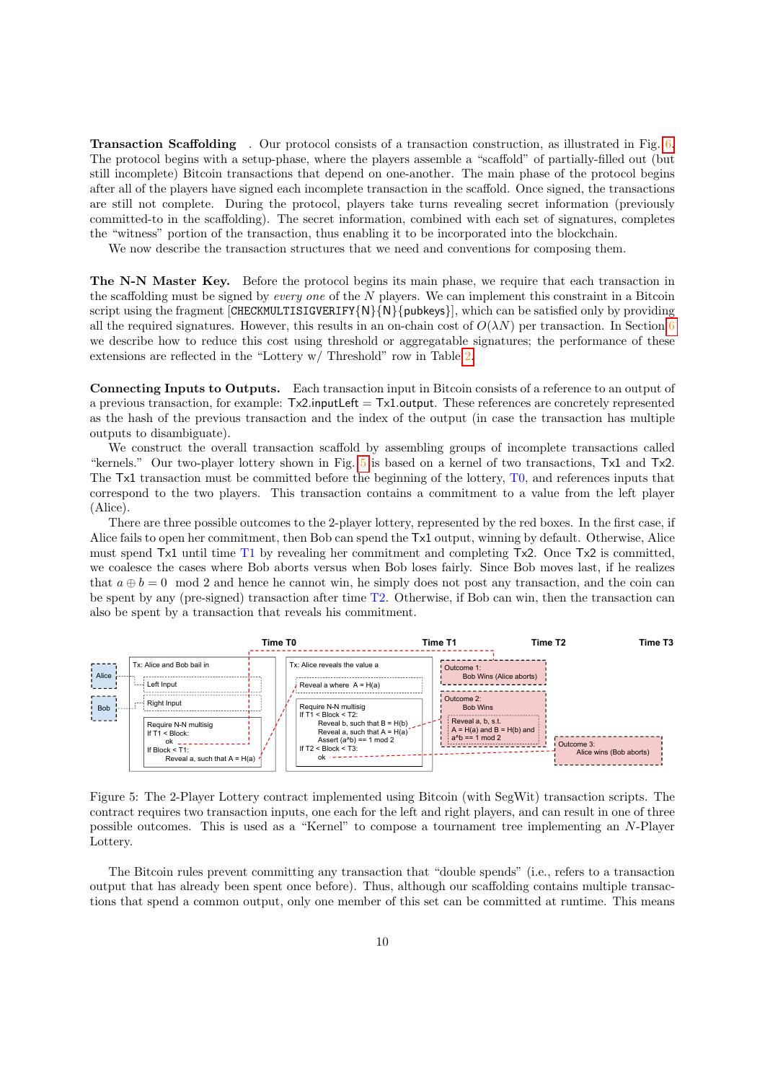Transaction Scaffolding . Our protocol consists of a transaction construction, as illustrated in Fig. [6.](#page-11-0) The protocol begins with a setup-phase, where the players assemble a "scaffold" of partially-filled out (but still incomplete) Bitcoin transactions that depend on one-another. The main phase of the protocol begins after all of the players have signed each incomplete transaction in the scaffold. Once signed, the transactions are still not complete. During the protocol, players take turns revealing secret information (previously committed-to in the scaffolding). The secret information, combined with each set of signatures, completes the "witness" portion of the transaction, thus enabling it to be incorporated into the blockchain.

We now describe the transaction structures that we need and conventions for composing them.

The N-N Master Key. Before the protocol begins its main phase, we require that each transaction in the scaffolding must be signed by every one of the N players. We can implement this constraint in a Bitcoin script using the fragment [CHECKMULTISIGVERIFY{N}{N}{pubkeys}], which can be satisfied only by providing all the required signatures. However, this results in an on-chain cost of  $O(\lambda N)$  per transaction. In Section [6](#page-12-0) we describe how to reduce this cost using threshold or aggregatable signatures; the performance of these extensions are reflected in the "Lottery w/ Threshold" row in Table [2.](#page-13-0)

Connecting Inputs to Outputs. Each transaction input in Bitcoin consists of a reference to an output of a previous transaction, for example:  $Tx2$ .inputLeft  $= Tx1$ .output. These references are concretely represented as the hash of the previous transaction and the index of the output (in case the transaction has multiple outputs to disambiguate).

We construct the overall transaction scaffold by assembling groups of incomplete transactions called "kernels." Our two-player lottery shown in Fig. [5](#page-9-0) is based on a kernel of two transactions, Tx1 and Tx2. The Tx1 transaction must be committed before the beginning of the lottery, T0, and references inputs that correspond to the two players. This transaction contains a commitment to a value from the left player (Alice).

There are three possible outcomes to the 2-player lottery, represented by the red boxes. In the first case, if Alice fails to open her commitment, then Bob can spend the Tx1 output, winning by default. Otherwise, Alice must spend Tx1 until time T1 by revealing her commitment and completing Tx2. Once Tx2 is committed, we coalesce the cases where Bob aborts versus when Bob loses fairly. Since Bob moves last, if he realizes that  $a \oplus b = 0 \mod 2$  and hence he cannot win, he simply does not post any transaction, and the coin can be spent by any (pre-signed) transaction after time T2. Otherwise, if Bob can win, then the transaction can also be spent by a transaction that reveals his commitment.



<span id="page-9-0"></span>Figure 5: The 2-Player Lottery contract implemented using Bitcoin (with SegWit) transaction scripts. The contract requires two transaction inputs, one each for the left and right players, and can result in one of three possible outcomes. This is used as a "Kernel" to compose a tournament tree implementing an N-Player Lottery.

The Bitcoin rules prevent committing any transaction that "double spends" (i.e., refers to a transaction tions that spend a common output, only one member of this set can be committed at runtime. This means output that has already been spent once before). Thus, although our scaffolding contains multiple transac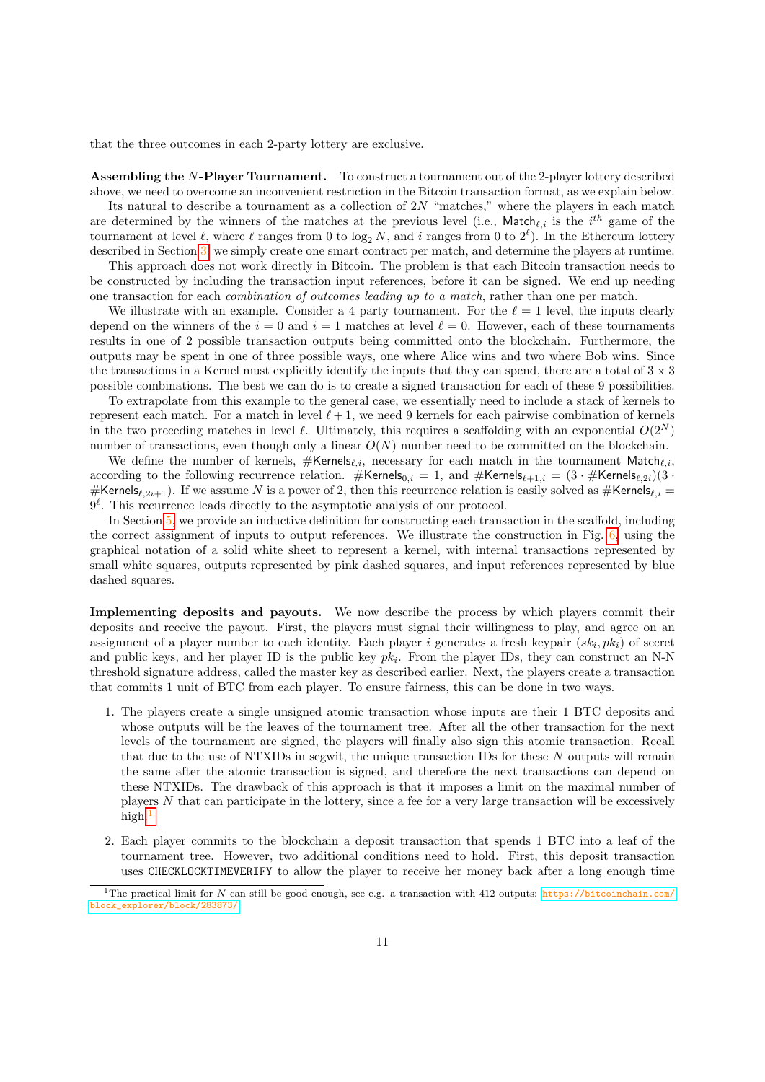that the three outcomes in each 2-party lottery are exclusive.

Assembling the N-Player Tournament. To construct a tournament out of the 2-player lottery described above, we need to overcome an inconvenient restriction in the Bitcoin transaction format, as we explain below.

Its natural to describe a tournament as a collection of  $2N$  "matches," where the players in each match are determined by the winners of the matches at the previous level (i.e., Match $_{\ell,i}$  is the  $i^{th}$  game of the tournament at level  $\ell$ , where  $\ell$  ranges from 0 to  $\log_2 N$ , and i ranges from 0 to  $2^{\ell}$ ). In the Ethereum lottery described in Section [3,](#page-4-0) we simply create one smart contract per match, and determine the players at runtime.

This approach does not work directly in Bitcoin. The problem is that each Bitcoin transaction needs to be constructed by including the transaction input references, before it can be signed. We end up needing one transaction for each combination of outcomes leading up to a match, rather than one per match.

We illustrate with an example. Consider a 4 party tournament. For the  $\ell = 1$  level, the inputs clearly depend on the winners of the  $i = 0$  and  $i = 1$  matches at level  $\ell = 0$ . However, each of these tournaments results in one of 2 possible transaction outputs being committed onto the blockchain. Furthermore, the outputs may be spent in one of three possible ways, one where Alice wins and two where Bob wins. Since the transactions in a Kernel must explicitly identify the inputs that they can spend, there are a total of 3 x 3 possible combinations. The best we can do is to create a signed transaction for each of these 9 possibilities.

To extrapolate from this example to the general case, we essentially need to include a stack of kernels to represent each match. For a match in level  $\ell + 1$ , we need 9 kernels for each pairwise combination of kernels in the two preceding matches in level  $\ell$ . Ultimately, this requires a scaffolding with an exponential  $O(2^N)$ number of transactions, even though only a linear  $O(N)$  number need to be committed on the blockchain.

We define the number of kernels,  $\#$ Kernels<sub>k,i</sub>, necessary for each match in the tournament Match<sub>k,i</sub>, according to the following recurrence relation. #Kernels<sub>0,i</sub> = 1, and #Kernels<sub> $\ell+1,i$ </sub> =  $(3 \cdot \#$ Kernels $_{\ell,2i})$  $(3 \cdot$ #Kernels $_{\ell,2i+1}$ ). If we assume N is a power of 2, then this recurrence relation is easily solved as #Kernels $_{\ell,i}$  =  $9^{\ell}$ . This recurrence leads directly to the asymptotic analysis of our protocol.

In Section [5,](#page-11-1) we provide an inductive definition for constructing each transaction in the scaffold, including the correct assignment of inputs to output references. We illustrate the construction in Fig. [6,](#page-11-0) using the graphical notation of a solid white sheet to represent a kernel, with internal transactions represented by small white squares, outputs represented by pink dashed squares, and input references represented by blue dashed squares.

Implementing deposits and payouts. We now describe the process by which players commit their deposits and receive the payout. First, the players must signal their willingness to play, and agree on an assignment of a player number to each identity. Each player i generates a fresh keypair  $(s_k, pk_i)$  of secret and public keys, and her player ID is the public key  $pk_i$ . From the player IDs, they can construct an N-N threshold signature address, called the master key as described earlier. Next, the players create a transaction that commits 1 unit of BTC from each player. To ensure fairness, this can be done in two ways.

- 1. The players create a single unsigned atomic transaction whose inputs are their 1 BTC deposits and whose outputs will be the leaves of the tournament tree. After all the other transaction for the next levels of the tournament are signed, the players will finally also sign this atomic transaction. Recall that due to the use of NTXIDs in segwit, the unique transaction IDs for these N outputs will remain the same after the atomic transaction is signed, and therefore the next transactions can depend on these NTXIDs. The drawback of this approach is that it imposes a limit on the maximal number of players N that can participate in the lottery, since a fee for a very large transaction will be excessively high.
- 2. Each player commits to the blockchain a deposit transaction that spends 1 BTC into a leaf of the tournament tree. However, two additional conditions need to hold. First, this deposit transaction uses CHECKLOCKTIMEVERIFY to allow the player to receive her money back after a long enough time

<span id="page-10-0"></span><sup>&</sup>lt;sup>1</sup>The practical limit for N can still be good enough, see e.g. a transaction with 412 outputs: [https://bitcoinchain.com/](https://bitcoinchain.com/block_explorer/block/283873/) [block\\_explorer/block/283873/](https://bitcoinchain.com/block_explorer/block/283873/).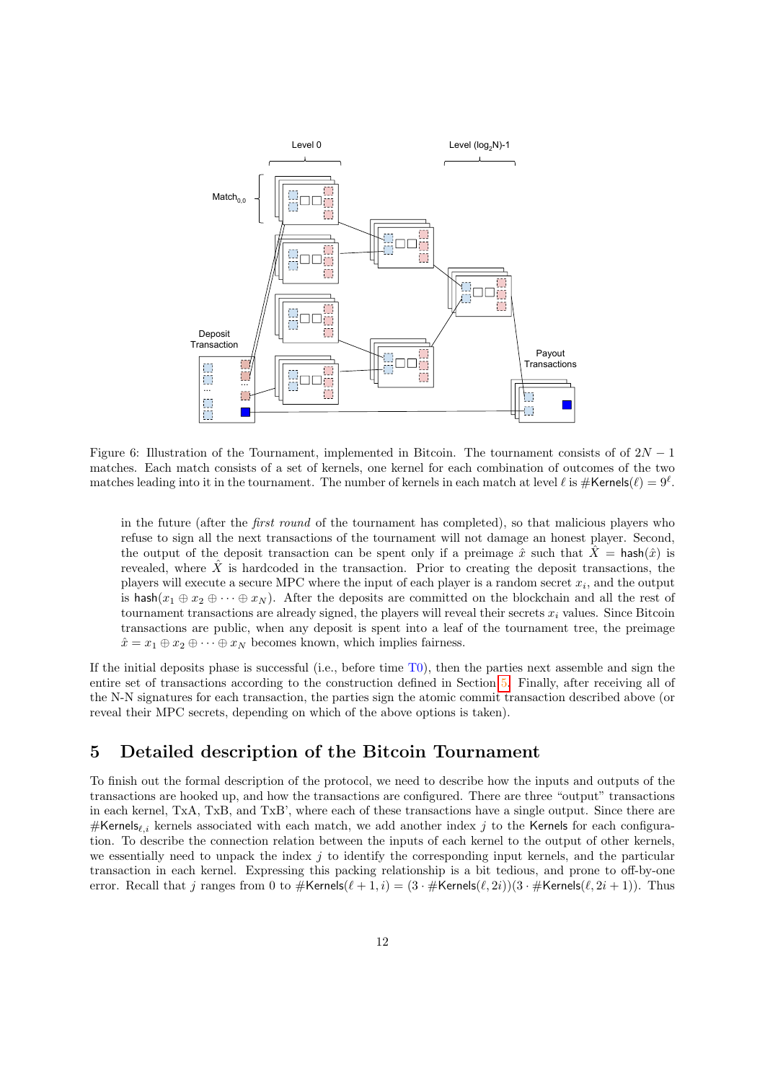

<span id="page-11-0"></span>Figure 6: Illustration of the Tournament, implemented in Bitcoin. The tournament consists of of  $2N-1$ matches. Each match consists of a set of kernels, one kernel for each combination of outcomes of the two matches leading into it in the tournament. The number of kernels in each match at level  $\ell$  is  $\#\textsf{Kernels}(\ell) = 9^{\ell}$ .

in the future (after the first round of the tournament has completed), so that malicious players who refuse to sign all the next transactions of the tournament will not damage an honest player. Second, the output of the deposit transaction can be spent only if a preimage  $\hat{x}$  such that  $\hat{X} = \mathsf{hash}(\hat{x})$  is revealed, where  $\hat{X}$  is hardcoded in the transaction. Prior to creating the deposit transactions, the players will execute a secure MPC where the input of each player is a random secret  $x_i$ , and the output is hash $(x_1 \oplus x_2 \oplus \cdots \oplus x_N)$ . After the deposits are committed on the blockchain and all the rest of tournament transactions are already signed, the players will reveal their secrets  $x_i$  values. Since Bitcoin transactions are public, when any deposit is spent into a leaf of the tournament tree, the preimage  $\hat{x} = x_1 \oplus x_2 \oplus \cdots \oplus x_N$  becomes known, which implies fairness.

If the initial deposits phase is successful (i.e., before time  $T(0)$ , then the parties next assemble and sign the entire set of transactions according to the construction defined in Section [5.](#page-11-1) Finally, after receiving all of the N-N signatures for each transaction, the parties sign the atomic commit transaction described above (or reveal their MPC secrets, depending on which of the above options is taken).

# <span id="page-11-1"></span>5 Detailed description of the Bitcoin Tournament

To finish out the formal description of the protocol, we need to describe how the inputs and outputs of the transactions are hooked up, and how the transactions are configured. There are three "output" transactions in each kernel, TxA, TxB, and TxB', where each of these transactions have a single output. Since there are #Kernels<sub>i</sub>, kernels associated with each match, we add another index j to the Kernels for each configuration. To describe the connection relation between the inputs of each kernel to the output of other kernels, we essentially need to unpack the index  $j$  to identify the corresponding input kernels, and the particular transaction in each kernel. Expressing this packing relationship is a bit tedious, and prone to off-by-one error. Recall that j ranges from 0 to  $\#$ Kernels $(\ell + 1, i) = (3 \cdot \#$ Kernels $(\ell, 2i)(3 \cdot \#$ Kernels $(\ell, 2i + 1))$ . Thus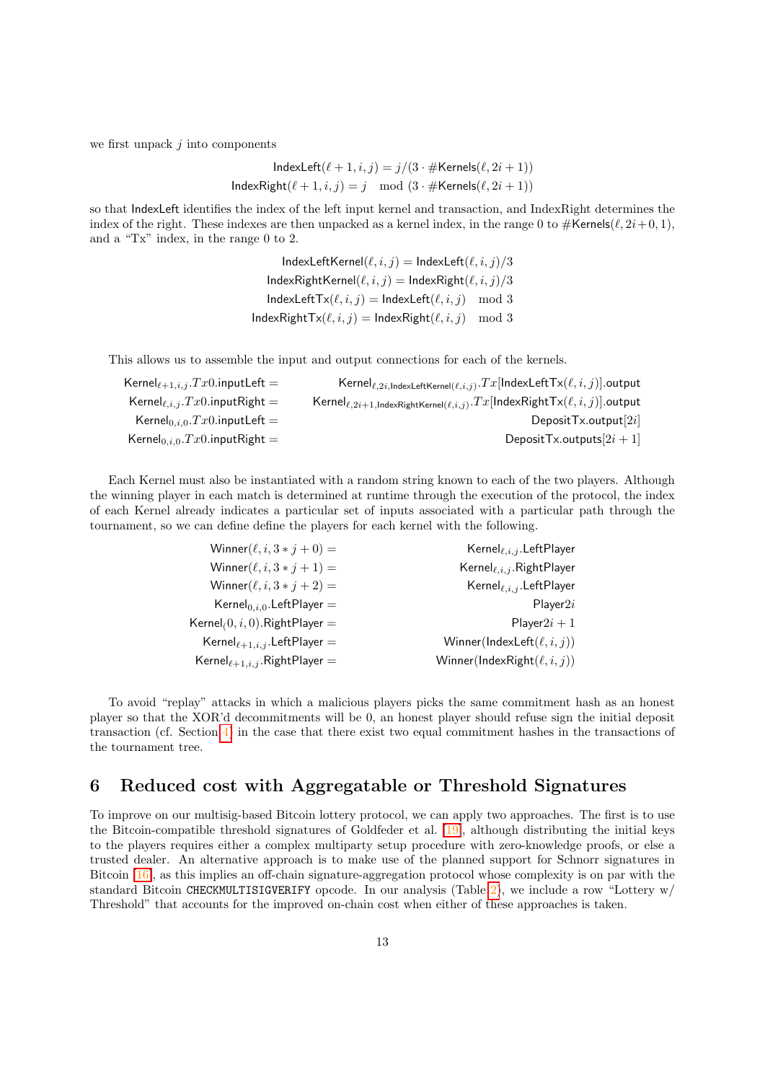we first unpack  $j$  into components

$$
IndexLeft(\ell + 1, i, j) = j/(3 \cdot #Kernels(\ell, 2i + 1))
$$

$$
IndexRight(\ell + 1, i, j) = j \mod (3 \cdot #Kernels(\ell, 2i + 1))
$$

so that IndexLeft identifies the index of the left input kernel and transaction, and IndexRight determines the index of the right. These indexes are then unpacked as a kernel index, in the range 0 to  $\#$ Kernels( $\ell$ ,  $2i+0, 1$ ), and a "Tx" index, in the range 0 to 2.

> $IndexLeftKernel(\ell, i, j) = IndexLeft(\ell, i, j)/3$  $IndexRightKernel(\ell, i, j) = IndexRight(\ell, i, j)/3$  $IndexLeftTx(\ell, i, j) = IndexLeft(\ell, i, j) \mod 3$  $IndexRightTx(\ell, i, j) = IndexRight(\ell, i, j) \mod 3$

This allows us to assemble the input and output connections for each of the kernels.

| $\mathsf{Kernel}_{\ell,2i,\mathsf{IndexLeftKernel}(\ell,i,j)}.\mathit{Tx}[\mathsf{IndexLeftTx}(\ell,i,j)]$ .output       |
|--------------------------------------------------------------------------------------------------------------------------|
| $\mathsf{Kernel}_{\ell,2i+1,\mathsf{IndexRightKernel}(\ell,i,j)}. Tx[\mathsf{IndexRightTx}(\ell,i,j)] . \mathsf{output}$ |
| DepositTx.output[2i]                                                                                                     |
| DepositTx.outputs $[2i + 1]$                                                                                             |
|                                                                                                                          |

Each Kernel must also be instantiated with a random string known to each of the two players. Although the winning player in each match is determined at runtime through the execution of the protocol, the index of each Kernel already indicates a particular set of inputs associated with a particular path through the tournament, so we can define define the players for each kernel with the following.

| Kernel $_{\ell,i,j}$ . Left Player | $\text{Winner}(\ell, i, 3 * j + 0) =$         |
|------------------------------------|-----------------------------------------------|
| Kernel $_{\ell,i,j}$ . RightPlayer | Winner $(\ell, i, 3 * j + 1) =$               |
| Kernel $_{\ell,i,j}$ . LeftPlayer  | $\text{Winner}(\ell, i, 3 * j + 2) =$         |
| Player2i                           | Kernel <sub>0,<i>i</i>,0</sub> . LeftPlayer = |
| Player $2i+1$                      | $\mathsf{Kernel}_{(0, i, 0)}$ . RightPlayer = |
| Winner(IndexLeft $(\ell, i, j)$ )  | $\text{Kernel}_{\ell+1,i,j}$ . LeftPlayer $=$ |
| Winner(IndexRight $(\ell, i, j)$ ) | Kernel $_{\ell+1,i,j}$ . Right Player =       |
|                                    |                                               |

To avoid "replay" attacks in which a malicious players picks the same commitment hash as an honest player so that the XOR'd decommitments will be 0, an honest player should refuse sign the initial deposit transaction (cf. Section [4\)](#page-8-2) in the case that there exist two equal commitment hashes in the transactions of the tournament tree.

#### <span id="page-12-0"></span>6 Reduced cost with Aggregatable or Threshold Signatures

To improve on our multisig-based Bitcoin lottery protocol, we can apply two approaches. The first is to use the Bitcoin-compatible threshold signatures of Goldfeder et al. [\[19\]](#page-15-14), although distributing the initial keys to the players requires either a complex multiparty setup procedure with zero-knowledge proofs, or else a trusted dealer. An alternative approach is to make use of the planned support for Schnorr signatures in Bitcoin [\[16\]](#page-15-15), as this implies an off-chain signature-aggregation protocol whose complexity is on par with the standard Bitcoin CHECKMULTISIGVERIFY opcode. In our analysis (Table [2\)](#page-13-0), we include a row "Lottery w/ Threshold" that accounts for the improved on-chain cost when either of these approaches is taken.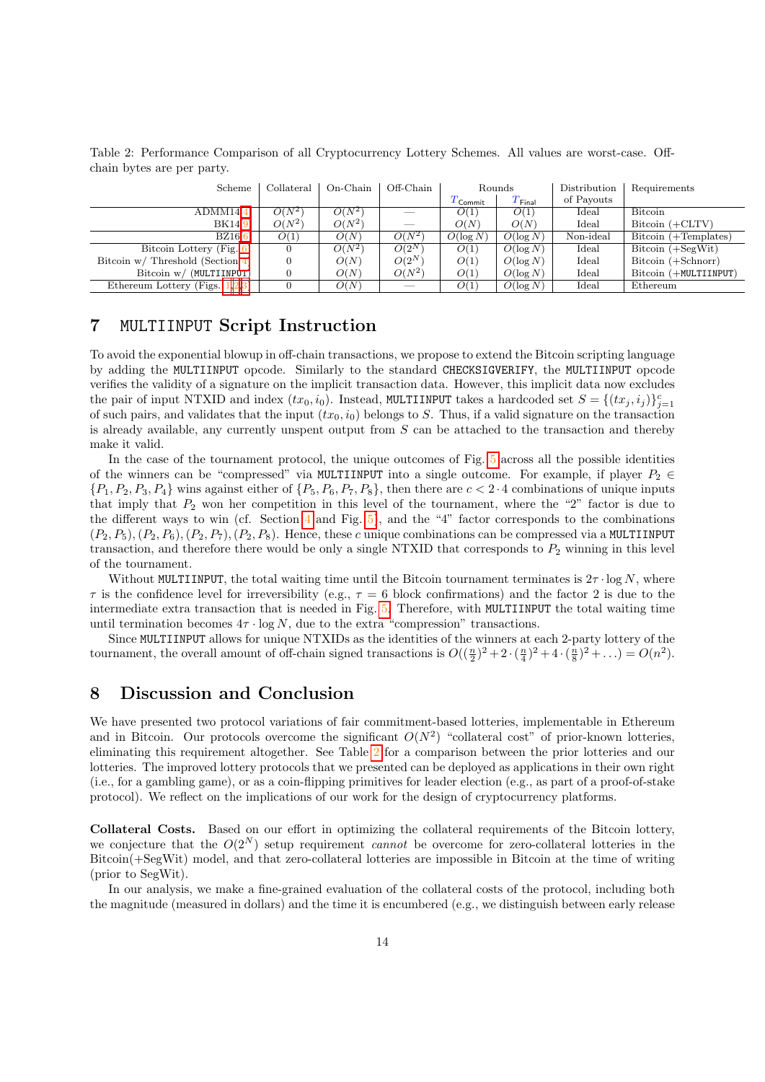<span id="page-13-0"></span>Table 2: Performance Comparison of all Cryptocurrency Lottery Schemes. All values are worst-case. Offchain bytes are per party.

| Scheme                             | Collateral | On-Chain | Off-Chain | Rounds                |             | Distribution | Requirements          |
|------------------------------------|------------|----------|-----------|-----------------------|-------------|--------------|-----------------------|
|                                    |            |          |           | $T_{\mathsf{Commit}}$ | $T_{Final}$ | of Payouts   |                       |
| ADMM14[4]                          | $O(N^2)$   | $O(N^2)$ |           | O(1)                  | O(1)        | Ideal        | Bitcoin               |
| BK14[9]                            | $O(N^2)$   | $O(N^2)$ | $-$       | O(N)                  | O(N)        | Ideal        | $Bitcoin (+CLTV)$     |
| BZ16[6]                            | O(1)       | O(N)     | $O(N^2)$  | $O(\log N)$           | $O(\log N)$ | Non-ideal    | Bitcoin (+Templates)  |
| Bitcoin Lottery (Fig. 6)           |            | $O(N^2)$ | $O(2^N)$  | O(1)                  | $O(\log N)$ | Ideal        | $Bitcoin (+SegWit)$   |
| Bitcoin $w/$ Threshold (Section 4) |            | O(N)     | $O(2^N)$  | O(1)                  | $O(\log N)$ | Ideal        | Bitcoin (+Schnorr)    |
| Bitcoin w/ (MULTIINPUT)            |            | O(N)     | $O(N^2)$  | O(1)                  | $O(\log N)$ | Ideal        | Bitcoin (+MULTIINPUT) |
| Ethereum Lottery (Figs. $1,2,3$ )  |            | O(N)     |           | O(1)                  | $O(\log N)$ | Ideal        | Ethereum              |

#### <span id="page-13-1"></span>7 MULTIINPUT Script Instruction

To avoid the exponential blowup in off-chain transactions, we propose to extend the Bitcoin scripting language by adding the MULTIINPUT opcode. Similarly to the standard CHECKSIGVERIFY, the MULTIINPUT opcode verifies the validity of a signature on the implicit transaction data. However, this implicit data now excludes the pair of input NTXID and index  $(tx_0, i_0)$ . Instead, MULTIINPUT takes a hardcoded set  $S = \{(tx_j, i_j)\}_{j=1}^c$ of such pairs, and validates that the input  $(tx_0, i_0)$  belongs to S. Thus, if a valid signature on the transaction is already available, any currently unspent output from S can be attached to the transaction and thereby make it valid.

In the case of the tournament protocol, the unique outcomes of Fig. [5](#page-9-0) across all the possible identities of the winners can be "compressed" via MULTIINPUT into a single outcome. For example, if player  $P_2 \in$  ${P_1, P_2, P_3, P_4}$  wins against either of  ${P_5, P_6, P_7, P_8}$ , then there are  $c < 2 \cdot 4$  combinations of unique inputs that imply that  $P_2$  won her competition in this level of the tournament, where the "2" factor is due to the different ways to win (cf. Section  $4$  and Fig. [5\)](#page-9-0), and the "4" factor corresponds to the combinations  $(P_2, P_5), (P_2, P_6), (P_2, P_7), (P_2, P_8)$ . Hence, these c unique combinations can be compressed via a MULTIINPUT transaction, and therefore there would be only a single NTXID that corresponds to  $P_2$  winning in this level of the tournament.

Without MULTIINPUT, the total waiting time until the Bitcoin tournament terminates is  $2\tau \cdot \log N$ , where  $\tau$  is the confidence level for irreversibility (e.g.,  $\tau = 6$  block confirmations) and the factor 2 is due to the intermediate extra transaction that is needed in Fig. [5.](#page-9-0) Therefore, with MULTIINPUT the total waiting time until termination becomes  $4\tau \cdot \log N$ , due to the extra "compression" transactions.

Since MULTIINPUT allows for unique NTXIDs as the identities of the winners at each 2-party lottery of the tournament, the overall amount of off-chain signed transactions is  $O((\frac{n}{2})^2 + 2 \cdot (\frac{n}{4})^2 + 4 \cdot (\frac{n}{8})^2 + ...) = O(n^2)$ .

## 8 Discussion and Conclusion

We have presented two protocol variations of fair commitment-based lotteries, implementable in Ethereum and in Bitcoin. Our protocols overcome the significant  $O(N^2)$  "collateral cost" of prior-known lotteries, eliminating this requirement altogether. See Table [2](#page-13-0) for a comparison between the prior lotteries and our lotteries. The improved lottery protocols that we presented can be deployed as applications in their own right (i.e., for a gambling game), or as a coin-flipping primitives for leader election (e.g., as part of a proof-of-stake protocol). We reflect on the implications of our work for the design of cryptocurrency platforms.

Collateral Costs. Based on our effort in optimizing the collateral requirements of the Bitcoin lottery, we conjecture that the  $O(2^N)$  setup requirement *cannot* be overcome for zero-collateral lotteries in the Bitcoin(+SegWit) model, and that zero-collateral lotteries are impossible in Bitcoin at the time of writing (prior to SegWit).

In our analysis, we make a fine-grained evaluation of the collateral costs of the protocol, including both the magnitude (measured in dollars) and the time it is encumbered (e.g., we distinguish between early release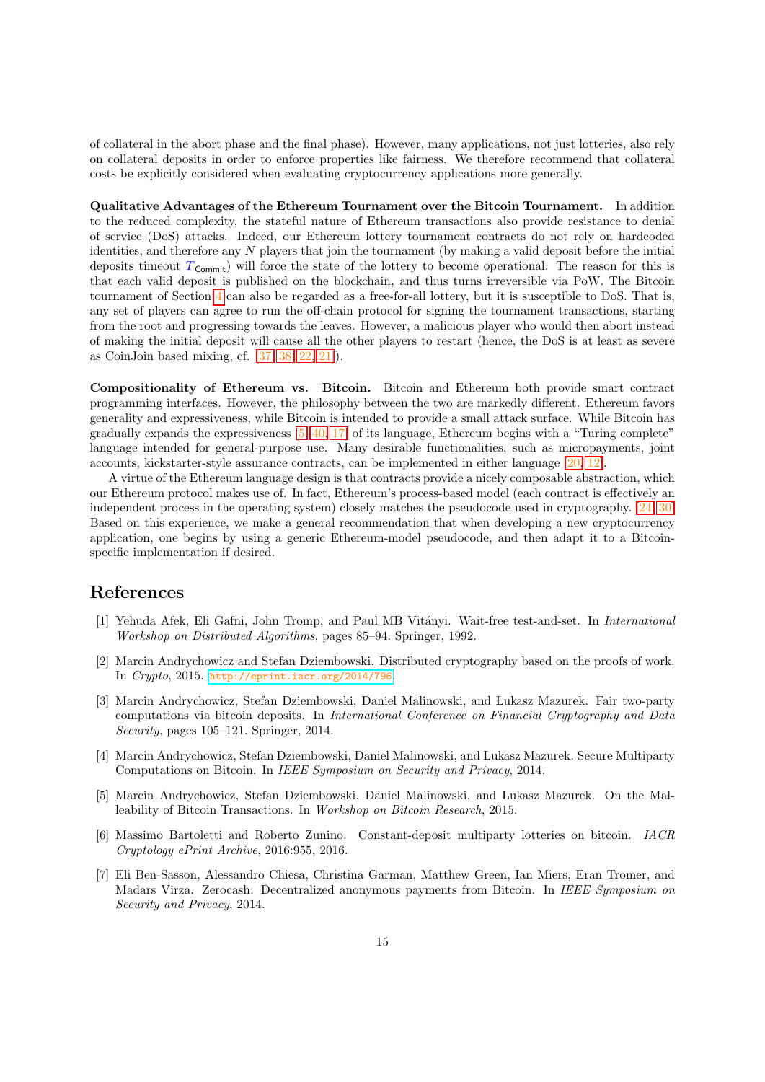of collateral in the abort phase and the final phase). However, many applications, not just lotteries, also rely on collateral deposits in order to enforce properties like fairness. We therefore recommend that collateral costs be explicitly considered when evaluating cryptocurrency applications more generally.

Qualitative Advantages of the Ethereum Tournament over the Bitcoin Tournament. In addition to the reduced complexity, the stateful nature of Ethereum transactions also provide resistance to denial of service (DoS) attacks. Indeed, our Ethereum lottery tournament contracts do not rely on hardcoded identities, and therefore any N players that join the tournament (by making a valid deposit before the initial deposits timeout  $T_{\text{Commit}}$ ) will force the state of the lottery to become operational. The reason for this is that each valid deposit is published on the blockchain, and thus turns irreversible via PoW. The Bitcoin tournament of Section [4](#page-8-2) can also be regarded as a free-for-all lottery, but it is susceptible to DoS. That is, any set of players can agree to run the off-chain protocol for signing the tournament transactions, starting from the root and progressing towards the leaves. However, a malicious player who would then abort instead of making the initial deposit will cause all the other players to restart (hence, the DoS is at least as severe as CoinJoin based mixing, cf. [\[37,](#page-16-14) [38,](#page-16-4) [22,](#page-15-16) [21\]](#page-15-4)).

Compositionality of Ethereum vs. Bitcoin. Bitcoin and Ethereum both provide smart contract programming interfaces. However, the philosophy between the two are markedly different. Ethereum favors generality and expressiveness, while Bitcoin is intended to provide a small attack surface. While Bitcoin has gradually expands the expressiveness [\[5,](#page-14-4) [40,](#page-16-8) [17\]](#page-15-8) of its language, Ethereum begins with a "Turing complete" language intended for general-purpose use. Many desirable functionalities, such as micropayments, joint accounts, kickstarter-style assurance contracts, can be implemented in either language [\[20,](#page-15-17) [12\]](#page-15-18).

A virtue of the Ethereum language design is that contracts provide a nicely composable abstraction, which our Ethereum protocol makes use of. In fact, Ethereum's process-based model (each contract is effectively an independent process in the operating system) closely matches the pseudocode used in cryptography. [\[24,](#page-15-6) [30\]](#page-16-7) Based on this experience, we make a general recommendation that when developing a new cryptocurrency application, one begins by using a generic Ethereum-model pseudocode, and then adapt it to a Bitcoinspecific implementation if desired.

## References

- <span id="page-14-0"></span>[1] Yehuda Afek, Eli Gafni, John Tromp, and Paul MB Vitányi. Wait-free test-and-set. In International Workshop on Distributed Algorithms, pages 85–94. Springer, 1992.
- <span id="page-14-6"></span>[2] Marcin Andrychowicz and Stefan Dziembowski. Distributed cryptography based on the proofs of work. In Crypto, 2015. <http://eprint.iacr.org/2014/796>.
- <span id="page-14-3"></span>[3] Marcin Andrychowicz, Stefan Dziembowski, Daniel Malinowski, and Lukasz Mazurek. Fair two-party computations via bitcoin deposits. In International Conference on Financial Cryptography and Data Security, pages 105–121. Springer, 2014.
- <span id="page-14-1"></span>[4] Marcin Andrychowicz, Stefan Dziembowski, Daniel Malinowski, and Lukasz Mazurek. Secure Multiparty Computations on Bitcoin. In IEEE Symposium on Security and Privacy, 2014.
- <span id="page-14-4"></span>[5] Marcin Andrychowicz, Stefan Dziembowski, Daniel Malinowski, and Lukasz Mazurek. On the Malleability of Bitcoin Transactions. In Workshop on Bitcoin Research, 2015.
- <span id="page-14-5"></span>[6] Massimo Bartoletti and Roberto Zunino. Constant-deposit multiparty lotteries on bitcoin. IACR Cryptology ePrint Archive, 2016:955, 2016.
- <span id="page-14-2"></span>[7] Eli Ben-Sasson, Alessandro Chiesa, Christina Garman, Matthew Green, Ian Miers, Eran Tromer, and Madars Virza. Zerocash: Decentralized anonymous payments from Bitcoin. In IEEE Symposium on Security and Privacy, 2014.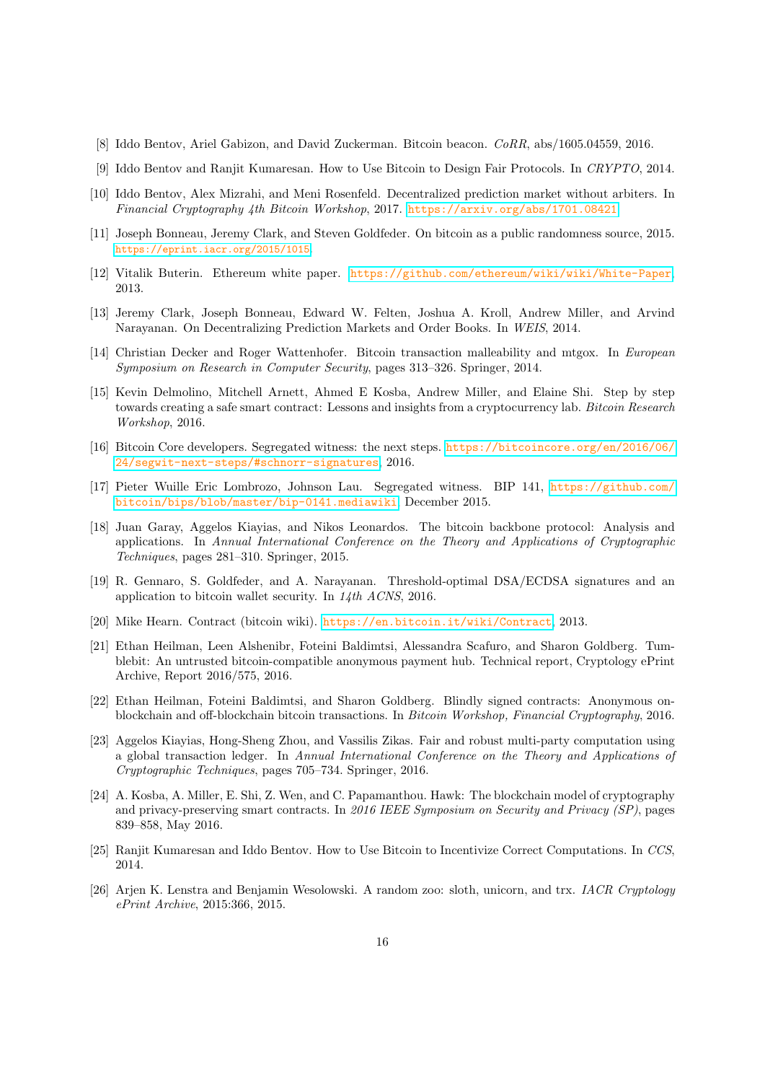- <span id="page-15-13"></span>[8] Iddo Bentov, Ariel Gabizon, and David Zuckerman. Bitcoin beacon. CoRR, abs/1605.04559, 2016.
- <span id="page-15-0"></span>[9] Iddo Bentov and Ranjit Kumaresan. How to Use Bitcoin to Design Fair Protocols. In CRYPTO, 2014.
- <span id="page-15-3"></span>[10] Iddo Bentov, Alex Mizrahi, and Meni Rosenfeld. Decentralized prediction market without arbiters. In Financial Cryptography 4th Bitcoin Workshop, 2017. <https://arxiv.org/abs/1701.08421>.
- <span id="page-15-11"></span>[11] Joseph Bonneau, Jeremy Clark, and Steven Goldfeder. On bitcoin as a public randomness source, 2015. <https://eprint.iacr.org/2015/1015>.
- <span id="page-15-18"></span>[12] Vitalik Buterin. Ethereum white paper. <https://github.com/ethereum/wiki/wiki/White-Paper>, 2013.
- <span id="page-15-2"></span>[13] Jeremy Clark, Joseph Bonneau, Edward W. Felten, Joshua A. Kroll, Andrew Miller, and Arvind Narayanan. On Decentralizing Prediction Markets and Order Books. In WEIS, 2014.
- <span id="page-15-9"></span>[14] Christian Decker and Roger Wattenhofer. Bitcoin transaction malleability and mtgox. In European Symposium on Research in Computer Security, pages 313–326. Springer, 2014.
- <span id="page-15-1"></span>[15] Kevin Delmolino, Mitchell Arnett, Ahmed E Kosba, Andrew Miller, and Elaine Shi. Step by step towards creating a safe smart contract: Lessons and insights from a cryptocurrency lab. Bitcoin Research Workshop, 2016.
- <span id="page-15-15"></span>[16] Bitcoin Core developers. Segregated witness: the next steps. [https://bitcoincore.org/en/2016/06/](https://bitcoincore.org/en/2016/06/24/segwit-next-steps/#schnorr-signatures) [24/segwit-next-steps/#schnorr-signatures](https://bitcoincore.org/en/2016/06/24/segwit-next-steps/#schnorr-signatures), 2016.
- <span id="page-15-8"></span>[17] Pieter Wuille Eric Lombrozo, Johnson Lau. Segregated witness. BIP 141, [https://github.com/](https://github.com/bitcoin/bips/blob/master/bip-0141.mediawiki) [bitcoin/bips/blob/master/bip-0141.mediawiki](https://github.com/bitcoin/bips/blob/master/bip-0141.mediawiki), December 2015.
- <span id="page-15-5"></span>[18] Juan Garay, Aggelos Kiayias, and Nikos Leonardos. The bitcoin backbone protocol: Analysis and applications. In Annual International Conference on the Theory and Applications of Cryptographic Techniques, pages 281–310. Springer, 2015.
- <span id="page-15-14"></span>[19] R. Gennaro, S. Goldfeder, and A. Narayanan. Threshold-optimal DSA/ECDSA signatures and an application to bitcoin wallet security. In 14th ACNS, 2016.
- <span id="page-15-17"></span>[20] Mike Hearn. Contract (bitcoin wiki). <https://en.bitcoin.it/wiki/Contract>, 2013.
- <span id="page-15-4"></span>[21] Ethan Heilman, Leen Alshenibr, Foteini Baldimtsi, Alessandra Scafuro, and Sharon Goldberg. Tumblebit: An untrusted bitcoin-compatible anonymous payment hub. Technical report, Cryptology ePrint Archive, Report 2016/575, 2016.
- <span id="page-15-16"></span>[22] Ethan Heilman, Foteini Baldimtsi, and Sharon Goldberg. Blindly signed contracts: Anonymous onblockchain and off-blockchain bitcoin transactions. In Bitcoin Workshop, Financial Cryptography, 2016.
- <span id="page-15-7"></span>[23] Aggelos Kiayias, Hong-Sheng Zhou, and Vassilis Zikas. Fair and robust multi-party computation using a global transaction ledger. In Annual International Conference on the Theory and Applications of Cryptographic Techniques, pages 705–734. Springer, 2016.
- <span id="page-15-6"></span>[24] A. Kosba, A. Miller, E. Shi, Z. Wen, and C. Papamanthou. Hawk: The blockchain model of cryptography and privacy-preserving smart contracts. In 2016 IEEE Symposium on Security and Privacy (SP), pages 839–858, May 2016.
- <span id="page-15-10"></span>[25] Ranjit Kumaresan and Iddo Bentov. How to Use Bitcoin to Incentivize Correct Computations. In CCS, 2014.
- <span id="page-15-12"></span>[26] Arjen K. Lenstra and Benjamin Wesolowski. A random zoo: sloth, unicorn, and trx. IACR Cryptology ePrint Archive, 2015:366, 2015.